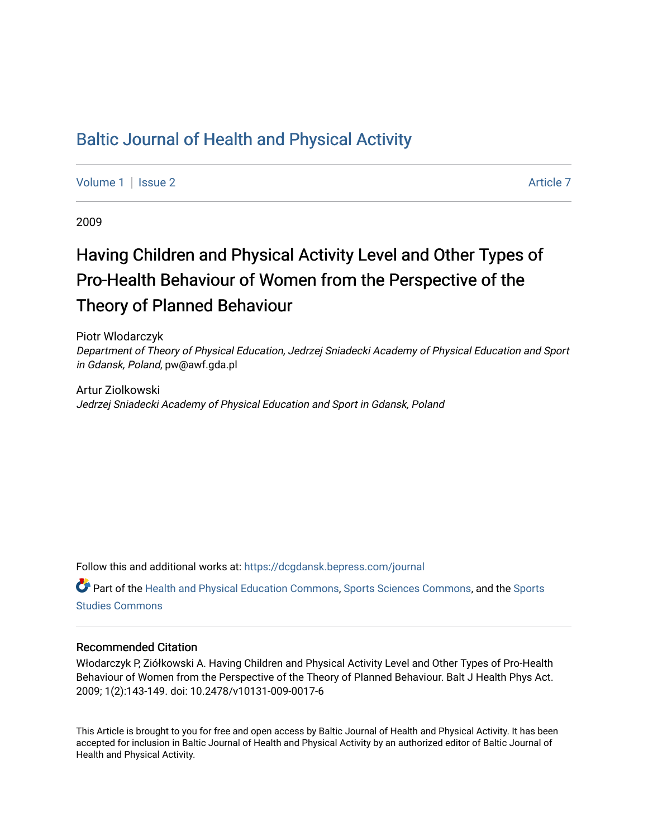# [Baltic Journal of Health and Physical Activity](https://dcgdansk.bepress.com/journal)

[Volume 1](https://dcgdansk.bepress.com/journal/vol1) | [Issue 2](https://dcgdansk.bepress.com/journal/vol1/iss2) Article 7

2009

# Having Children and Physical Activity Level and Other Types of Pro-Health Behaviour of Women from the Perspective of the Theory of Planned Behaviour

Piotr Wlodarczyk Department of Theory of Physical Education, Jedrzej Sniadecki Academy of Physical Education and Sport in Gdansk, Poland, pw@awf.gda.pl

Artur Ziolkowski Jedrzej Sniadecki Academy of Physical Education and Sport in Gdansk, Poland

Follow this and additional works at: [https://dcgdansk.bepress.com/journal](https://dcgdansk.bepress.com/journal?utm_source=dcgdansk.bepress.com%2Fjournal%2Fvol1%2Fiss2%2F7&utm_medium=PDF&utm_campaign=PDFCoverPages)

Part of the [Health and Physical Education Commons](http://network.bepress.com/hgg/discipline/1327?utm_source=dcgdansk.bepress.com%2Fjournal%2Fvol1%2Fiss2%2F7&utm_medium=PDF&utm_campaign=PDFCoverPages), [Sports Sciences Commons](http://network.bepress.com/hgg/discipline/759?utm_source=dcgdansk.bepress.com%2Fjournal%2Fvol1%2Fiss2%2F7&utm_medium=PDF&utm_campaign=PDFCoverPages), and the [Sports](http://network.bepress.com/hgg/discipline/1198?utm_source=dcgdansk.bepress.com%2Fjournal%2Fvol1%2Fiss2%2F7&utm_medium=PDF&utm_campaign=PDFCoverPages)  [Studies Commons](http://network.bepress.com/hgg/discipline/1198?utm_source=dcgdansk.bepress.com%2Fjournal%2Fvol1%2Fiss2%2F7&utm_medium=PDF&utm_campaign=PDFCoverPages) 

#### Recommended Citation

Włodarczyk P, Ziółkowski A. Having Children and Physical Activity Level and Other Types of Pro-Health Behaviour of Women from the Perspective of the Theory of Planned Behaviour. Balt J Health Phys Act. 2009; 1(2):143-149. doi: 10.2478/v10131-009-0017-6

This Article is brought to you for free and open access by Baltic Journal of Health and Physical Activity. It has been accepted for inclusion in Baltic Journal of Health and Physical Activity by an authorized editor of Baltic Journal of Health and Physical Activity.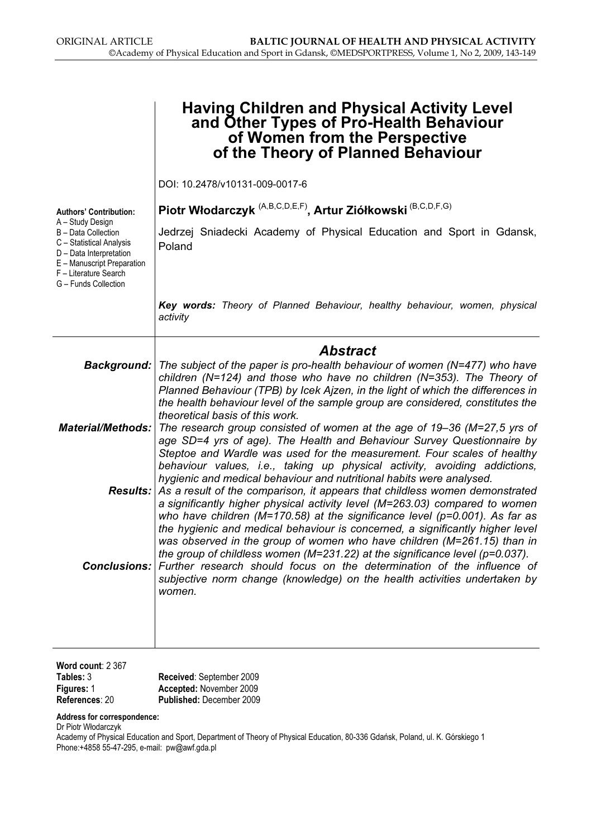|                                                                                                                                                                               | <b>Having Children and Physical Activity Level</b><br>and Other Types of Pro-Health Behaviour<br>of Women from the Perspective<br>of the Theory of Planned Behaviour                                                                                                                                                                                                                                                                                                                                                                                                                                                                                                                                                                                                                                   |
|-------------------------------------------------------------------------------------------------------------------------------------------------------------------------------|--------------------------------------------------------------------------------------------------------------------------------------------------------------------------------------------------------------------------------------------------------------------------------------------------------------------------------------------------------------------------------------------------------------------------------------------------------------------------------------------------------------------------------------------------------------------------------------------------------------------------------------------------------------------------------------------------------------------------------------------------------------------------------------------------------|
|                                                                                                                                                                               | DOI: 10.2478/v10131-009-0017-6                                                                                                                                                                                                                                                                                                                                                                                                                                                                                                                                                                                                                                                                                                                                                                         |
| <b>Authors' Contribution:</b>                                                                                                                                                 | Piotr Włodarczyk <sup> (A,B,C,D,E,F)</sup> , Artur Ziółkowski <sup> (B,C,D,F,G)</sup>                                                                                                                                                                                                                                                                                                                                                                                                                                                                                                                                                                                                                                                                                                                  |
| A - Study Design<br>B - Data Collection<br>C - Statistical Analysis<br>D - Data Interpretation<br>E - Manuscript Preparation<br>F - Literature Search<br>G - Funds Collection | Jedrzej Sniadecki Academy of Physical Education and Sport in Gdansk,<br>Poland                                                                                                                                                                                                                                                                                                                                                                                                                                                                                                                                                                                                                                                                                                                         |
|                                                                                                                                                                               | Key words: Theory of Planned Behaviour, healthy behaviour, women, physical<br>activity                                                                                                                                                                                                                                                                                                                                                                                                                                                                                                                                                                                                                                                                                                                 |
|                                                                                                                                                                               | <b>Abstract</b>                                                                                                                                                                                                                                                                                                                                                                                                                                                                                                                                                                                                                                                                                                                                                                                        |
|                                                                                                                                                                               | <b>Background:</b> The subject of the paper is pro-health behaviour of women (N=477) who have<br>children ( $N=124$ ) and those who have no children ( $N=353$ ). The Theory of<br>Planned Behaviour (TPB) by Icek Ajzen, in the light of which the differences in<br>the health behaviour level of the sample group are considered, constitutes the<br>theoretical basis of this work.<br><b>Material/Methods:</b> The research group consisted of women at the age of 19–36 (M=27,5 yrs of<br>age SD=4 yrs of age). The Health and Behaviour Survey Questionnaire by<br>Steptoe and Wardle was used for the measurement. Four scales of healthy<br>behaviour values, i.e., taking up physical activity, avoiding addictions,<br>hygienic and medical behaviour and nutritional habits were analysed. |
|                                                                                                                                                                               | <b>Results:</b> As a result of the comparison, it appears that childless women demonstrated<br>a significantly higher physical activity level (M=263.03) compared to women<br>who have children ( $M=170.58$ ) at the significance level ( $p=0.001$ ). As far as<br>the hygienic and medical behaviour is concerned, a significantly higher level<br>was observed in the group of women who have children (M=261.15) than in<br>the group of childless women (M=231.22) at the significance level ( $p=0.037$ ).                                                                                                                                                                                                                                                                                      |
|                                                                                                                                                                               | <b>Conclusions:</b> Further research should focus on the determination of the influence of<br>subjective norm change (knowledge) on the health activities undertaken by<br>women.                                                                                                                                                                                                                                                                                                                                                                                                                                                                                                                                                                                                                      |

| Word count: $2,367$ |                                 |
|---------------------|---------------------------------|
| Tables: 3           | Received: September 2009        |
| <b>Figures: 1</b>   | Accepted: November 2009         |
| References: 20      | <b>Published: December 2009</b> |

#### Address for correspondence:

Dr Piotr Włodarczyk

Academy of Physical Education and Sport, Department of Theory of Physical Education, 80-336 Gdańsk, Poland, ul. K. Górskiego 1 Phone:+4858 55-47-295, e-mail: pw@awf.gda.pl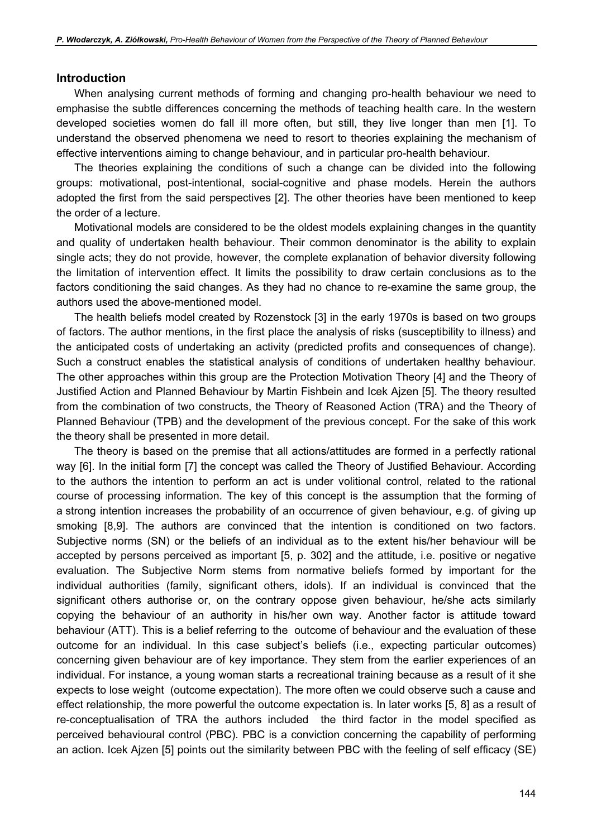#### Introduction

When analysing current methods of forming and changing pro-health behaviour we need to emphasise the subtle differences concerning the methods of teaching health care. In the western developed societies women do fall ill more often, but still, they live longer than men [1]. To understand the observed phenomena we need to resort to theories explaining the mechanism of effective interventions aiming to change behaviour, and in particular pro-health behaviour.

The theories explaining the conditions of such a change can be divided into the following groups: motivational, post-intentional, social-cognitive and phase models. Herein the authors adopted the first from the said perspectives [2]. The other theories have been mentioned to keep the order of a lecture.

Motivational models are considered to be the oldest models explaining changes in the quantity and quality of undertaken health behaviour. Their common denominator is the ability to explain single acts; they do not provide, however, the complete explanation of behavior diversity following the limitation of intervention effect. It limits the possibility to draw certain conclusions as to the factors conditioning the said changes. As they had no chance to re-examine the same group, the authors used the above-mentioned model.

The health beliefs model created by Rozenstock [3] in the early 1970s is based on two groups of factors. The author mentions, in the first place the analysis of risks (susceptibility to illness) and the anticipated costs of undertaking an activity (predicted profits and consequences of change). Such a construct enables the statistical analysis of conditions of undertaken healthy behaviour. The other approaches within this group are the Protection Motivation Theory [4] and the Theory of Justified Action and Planned Behaviour by Martin Fishbein and Icek Ajzen [5]. The theory resulted from the combination of two constructs, the Theory of Reasoned Action (TRA) and the Theory of Planned Behaviour (TPB) and the development of the previous concept. For the sake of this work the theory shall be presented in more detail.

The theory is based on the premise that all actions/attitudes are formed in a perfectly rational way [6]. In the initial form [7] the concept was called the Theory of Justified Behaviour. According to the authors the intention to perform an act is under volitional control, related to the rational course of processing information. The key of this concept is the assumption that the forming of a strong intention increases the probability of an occurrence of given behaviour, e.g. of giving up smoking [8,9]. The authors are convinced that the intention is conditioned on two factors. Subjective norms (SN) or the beliefs of an individual as to the extent his/her behaviour will be accepted by persons perceived as important [5, p. 302] and the attitude, i.e. positive or negative evaluation. The Subjective Norm stems from normative beliefs formed by important for the individual authorities (family, significant others, idols). If an individual is convinced that the significant others authorise or, on the contrary oppose given behaviour, he/she acts similarly copying the behaviour of an authority in his/her own way. Another factor is attitude toward behaviour (ATT). This is a belief referring to the outcome of behaviour and the evaluation of these outcome for an individual. In this case subject's beliefs (i.e., expecting particular outcomes) concerning given behaviour are of key importance. They stem from the earlier experiences of an individual. For instance, a young woman starts a recreational training because as a result of it she expects to lose weight (outcome expectation). The more often we could observe such a cause and effect relationship, the more powerful the outcome expectation is. In later works [5, 8] as a result of re-conceptualisation of TRA the authors included the third factor in the model specified as perceived behavioural control (PBC). PBC is a conviction concerning the capability of performing an action. Icek Ajzen [5] points out the similarity between PBC with the feeling of self efficacy (SE)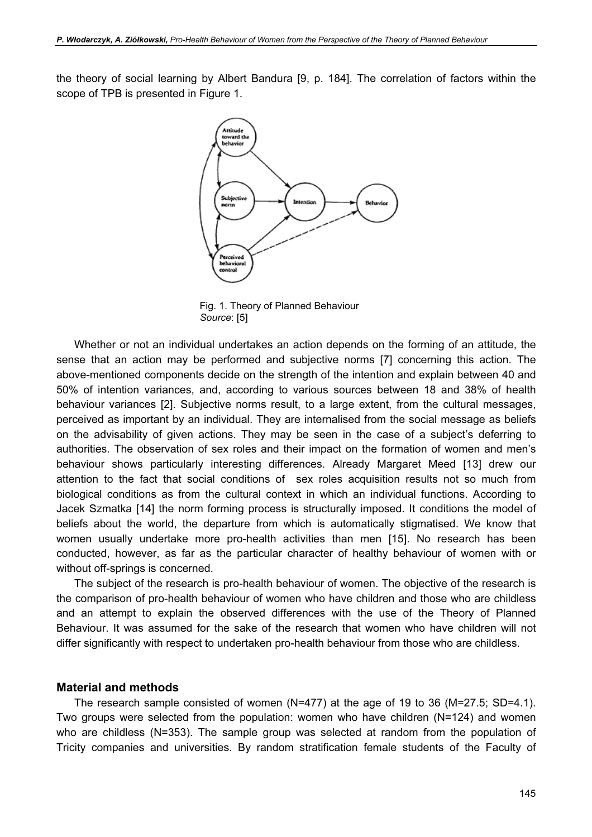the theory of social learning by Albert Bandura [9, p. 184]. The correlation of factors within the scope of TPB is presented in Figure 1.



Fig. 1. Theory of Planned Behaviour Source: [5]

Whether or not an individual undertakes an action depends on the forming of an attitude, the sense that an action may be performed and subjective norms [7] concerning this action. The above-mentioned components decide on the strength of the intention and explain between 40 and 50% of intention variances, and, according to various sources between 18 and 38% of health behaviour variances [2]. Subjective norms result, to a large extent, from the cultural messages, perceived as important by an individual. They are internalised from the social message as beliefs on the advisability of given actions. They may be seen in the case of a subject's deferring to authorities. The observation of sex roles and their impact on the formation of women and men's behaviour shows particularly interesting differences. Already Margaret Meed [13] drew our attention to the fact that social conditions of sex roles acquisition results not so much from biological conditions as from the cultural context in which an individual functions. According to Jacek Szmatka [14] the norm forming process is structurally imposed. It conditions the model of beliefs about the world, the departure from which is automatically stigmatised. We know that women usually undertake more pro-health activities than men [15]. No research has been conducted, however, as far as the particular character of healthy behaviour of women with or without off-springs is concerned.

The subject of the research is pro-health behaviour of women. The objective of the research is the comparison of pro-health behaviour of women who have children and those who are childless and an attempt to explain the observed differences with the use of the Theory of Planned Behaviour. It was assumed for the sake of the research that women who have children will not differ significantly with respect to undertaken pro-health behaviour from those who are childless.

#### Material and methods

The research sample consisted of women (N=477) at the age of 19 to 36 (M=27.5; SD=4.1). Two groups were selected from the population: women who have children (N=124) and women who are childless (N=353). The sample group was selected at random from the population of Tricity companies and universities. By random stratification female students of the Faculty of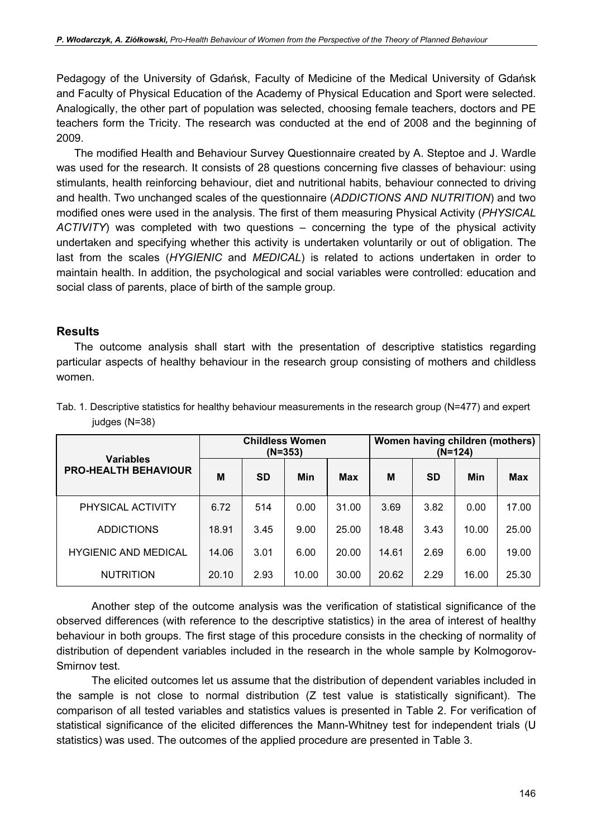Pedagogy of the University of Gdańsk, Faculty of Medicine of the Medical University of Gdańsk and Faculty of Physical Education of the Academy of Physical Education and Sport were selected. Analogically, the other part of population was selected, choosing female teachers, doctors and PE teachers form the Tricity. The research was conducted at the end of 2008 and the beginning of 2009.

The modified Health and Behaviour Survey Questionnaire created by A. Steptoe and J. Wardle was used for the research. It consists of 28 questions concerning five classes of behaviour: using stimulants, health reinforcing behaviour, diet and nutritional habits, behaviour connected to driving and health. Two unchanged scales of the questionnaire (ADDICTIONS AND NUTRITION) and two modified ones were used in the analysis. The first of them measuring Physical Activity (PHYSICAL ACTIVITY) was completed with two questions – concerning the type of the physical activity undertaken and specifying whether this activity is undertaken voluntarily or out of obligation. The last from the scales (HYGIENIC and MEDICAL) is related to actions undertaken in order to maintain health. In addition, the psychological and social variables were controlled: education and social class of parents, place of birth of the sample group.

## **Results**

The outcome analysis shall start with the presentation of descriptive statistics regarding particular aspects of healthy behaviour in the research group consisting of mothers and childless women.

|                                                 | <b>Childless Women</b><br>$(N=353)$ |           |       |            | Women having children (mothers)<br>$(N=124)$ |           |       |            |
|-------------------------------------------------|-------------------------------------|-----------|-------|------------|----------------------------------------------|-----------|-------|------------|
| <b>Variables</b><br><b>PRO-HEALTH BEHAVIOUR</b> | M                                   | <b>SD</b> | Min   | <b>Max</b> | M                                            | <b>SD</b> | Min   | <b>Max</b> |
| PHYSICAL ACTIVITY                               | 6.72                                | 514       | 0.00  | 31.00      | 3.69                                         | 3.82      | 0.00  | 17.00      |
| <b>ADDICTIONS</b>                               | 18.91                               | 3.45      | 9.00  | 25.00      | 18.48                                        | 3.43      | 10.00 | 25.00      |
| <b>HYGIENIC AND MEDICAL</b>                     | 14.06                               | 3.01      | 6.00  | 20.00      | 14.61                                        | 2.69      | 6.00  | 19.00      |
| <b>NUTRITION</b>                                | 20.10                               | 2.93      | 10.00 | 30.00      | 20.62                                        | 2.29      | 16.00 | 25.30      |

|               | Tab. 1. Descriptive statistics for healthy behaviour measurements in the research group ( $N=477$ ) and expert |  |  |
|---------------|----------------------------------------------------------------------------------------------------------------|--|--|
| judges (N=38) |                                                                                                                |  |  |

Another step of the outcome analysis was the verification of statistical significance of the observed differences (with reference to the descriptive statistics) in the area of interest of healthy behaviour in both groups. The first stage of this procedure consists in the checking of normality of distribution of dependent variables included in the research in the whole sample by Kolmogorov-Smirnov test.

The elicited outcomes let us assume that the distribution of dependent variables included in the sample is not close to normal distribution (Z test value is statistically significant). The comparison of all tested variables and statistics values is presented in Table 2. For verification of statistical significance of the elicited differences the Mann-Whitney test for independent trials (U statistics) was used. The outcomes of the applied procedure are presented in Table 3.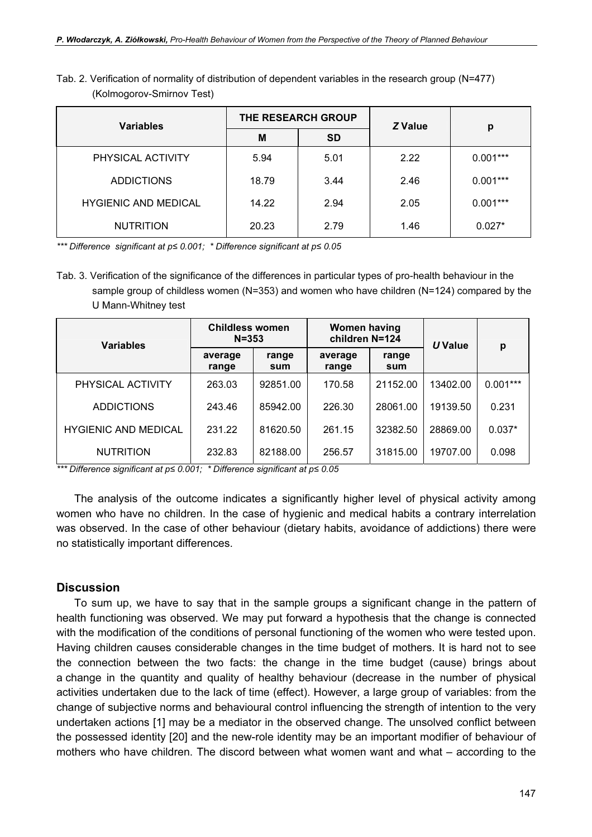| <b>Variables</b>            | THE RESEARCH GROUP |           | Z Value | р          |  |
|-----------------------------|--------------------|-----------|---------|------------|--|
|                             | M                  | <b>SD</b> |         |            |  |
| PHYSICAL ACTIVITY           | 5.94               | 5.01      | 2.22    | $0.001***$ |  |
| <b>ADDICTIONS</b>           | 18.79              | 3.44      | 2.46    | $0.001***$ |  |
| <b>HYGIENIC AND MEDICAL</b> | 14.22              | 2.94      | 2.05    | $0.001***$ |  |
| <b>NUTRITION</b>            | 20.23              | 2.79      | 1.46    | $0.027*$   |  |

Tab. 2. Verification of normality of distribution of dependent variables in the research group (N=477) (Kolmogorov-Smirnov Test)

\*\*\* Difference significant at p≤ 0.001; \* Difference significant at p≤ 0.05

Tab. 3. Verification of the significance of the differences in particular types of pro-health behaviour in the sample group of childless women (N=353) and women who have children (N=124) compared by the U Mann-Whitney test

| <b>Variables</b>            | <b>Childless women</b><br>$N = 353$ |              | <b>Women having</b><br>children N=124 |              | U Value  | р          |
|-----------------------------|-------------------------------------|--------------|---------------------------------------|--------------|----------|------------|
|                             | average<br>range                    | range<br>sum | average<br>range                      | range<br>sum |          |            |
| PHYSICAL ACTIVITY           | 263.03                              | 92851.00     | 170.58                                | 21152.00     | 13402.00 | $0.001***$ |
| <b>ADDICTIONS</b>           | 243.46                              | 85942.00     | 226.30                                | 28061.00     | 19139.50 | 0.231      |
| <b>HYGIENIC AND MEDICAL</b> | 231.22                              | 81620.50     | 261.15                                | 32382.50     | 28869.00 | $0.037*$   |
| <b>NUTRITION</b>            | 232.83                              | 82188.00     | 256.57                                | 31815.00     | 19707.00 | 0.098      |

\*\*\* Difference significant at p≤ 0.001; \* Difference significant at p≤ 0.05

The analysis of the outcome indicates a significantly higher level of physical activity among women who have no children. In the case of hygienic and medical habits a contrary interrelation was observed. In the case of other behaviour (dietary habits, avoidance of addictions) there were no statistically important differences.

### **Discussion**

To sum up, we have to say that in the sample groups a significant change in the pattern of health functioning was observed. We may put forward a hypothesis that the change is connected with the modification of the conditions of personal functioning of the women who were tested upon. Having children causes considerable changes in the time budget of mothers. It is hard not to see the connection between the two facts: the change in the time budget (cause) brings about a change in the quantity and quality of healthy behaviour (decrease in the number of physical activities undertaken due to the lack of time (effect). However, a large group of variables: from the change of subjective norms and behavioural control influencing the strength of intention to the very undertaken actions [1] may be a mediator in the observed change. The unsolved conflict between the possessed identity [20] and the new-role identity may be an important modifier of behaviour of mothers who have children. The discord between what women want and what – according to the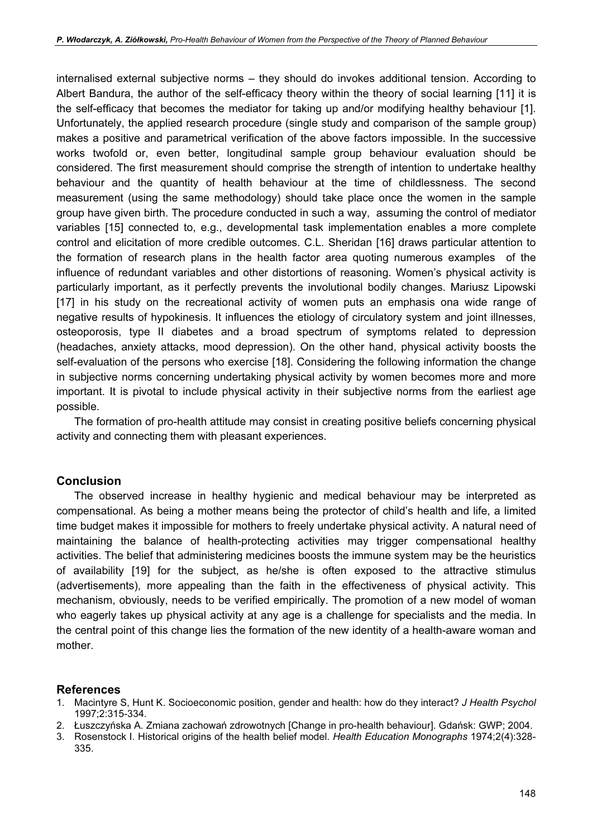internalised external subjective norms – they should do invokes additional tension. According to Albert Bandura, the author of the self-efficacy theory within the theory of social learning [11] it is the self-efficacy that becomes the mediator for taking up and/or modifying healthy behaviour [1]. Unfortunately, the applied research procedure (single study and comparison of the sample group) makes a positive and parametrical verification of the above factors impossible. In the successive works twofold or, even better, longitudinal sample group behaviour evaluation should be considered. The first measurement should comprise the strength of intention to undertake healthy behaviour and the quantity of health behaviour at the time of childlessness. The second measurement (using the same methodology) should take place once the women in the sample group have given birth. The procedure conducted in such a way, assuming the control of mediator variables [15] connected to, e.g., developmental task implementation enables a more complete control and elicitation of more credible outcomes. C.L. Sheridan [16] draws particular attention to the formation of research plans in the health factor area quoting numerous examples of the influence of redundant variables and other distortions of reasoning. Women's physical activity is particularly important, as it perfectly prevents the involutional bodily changes. Mariusz Lipowski [17] in his study on the recreational activity of women puts an emphasis ona wide range of negative results of hypokinesis. It influences the etiology of circulatory system and joint illnesses, osteoporosis, type II diabetes and a broad spectrum of symptoms related to depression (headaches, anxiety attacks, mood depression). On the other hand, physical activity boosts the self-evaluation of the persons who exercise [18]. Considering the following information the change in subjective norms concerning undertaking physical activity by women becomes more and more important. It is pivotal to include physical activity in their subjective norms from the earliest age possible.

The formation of pro-health attitude may consist in creating positive beliefs concerning physical activity and connecting them with pleasant experiences.

# Conclusion

The observed increase in healthy hygienic and medical behaviour may be interpreted as compensational. As being a mother means being the protector of child's health and life, a limited time budget makes it impossible for mothers to freely undertake physical activity. A natural need of maintaining the balance of health-protecting activities may trigger compensational healthy activities. The belief that administering medicines boosts the immune system may be the heuristics of availability [19] for the subject, as he/she is often exposed to the attractive stimulus (advertisements), more appealing than the faith in the effectiveness of physical activity. This mechanism, obviously, needs to be verified empirically. The promotion of a new model of woman who eagerly takes up physical activity at any age is a challenge for specialists and the media. In the central point of this change lies the formation of the new identity of a health-aware woman and mother.

# **References**

- 1. Macintyre S, Hunt K, Socioeconomic position, gender and health: how do they interact? J Health Psychol 1997;2:315-334.
- 2. Łuszczyńska A. Zmiana zachowań zdrowotnych [Change in pro-health behaviour]. Gdańsk: GWP; 2004.
- 3. Rosenstock I. Historical origins of the health belief model. Health Education Monographs 1974:2(4):328-335.